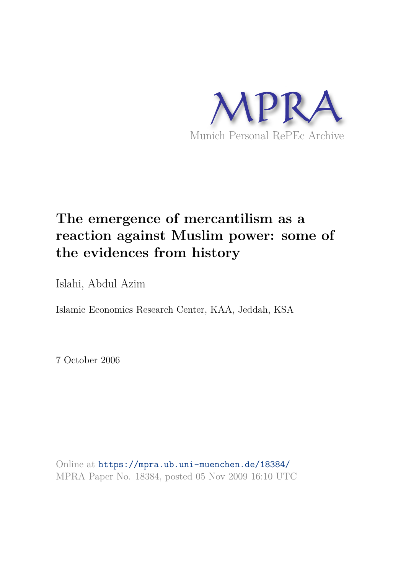

# **The emergence of mercantilism as a reaction against Muslim power: some of the evidences from history**

Islahi, Abdul Azim

Islamic Economics Research Center, KAA, Jeddah, KSA

7 October 2006

Online at https://mpra.ub.uni-muenchen.de/18384/ MPRA Paper No. 18384, posted 05 Nov 2009 16:10 UTC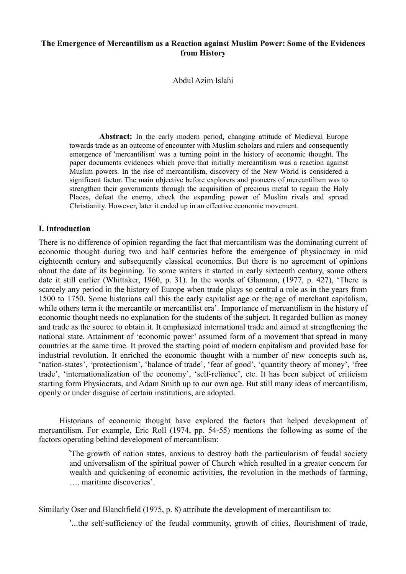## **The Emergence of Mercantilism as a Reaction against Muslim Power: Some of the Evidences from History**

Abdul Azim Islahi

 **Abstract:** In the early modern period, changing attitude of Medieval Europe towards trade as an outcome of encounter with Muslim scholars and rulers and consequently emergence of 'mercantilism' was a turning point in the history of economic thought. The paper documents evidences which prove that initially mercantilism was a reaction against Muslim powers. In the rise of mercantilism, discovery of the New World is considered a significant factor. The main objective before explorers and pioneers of mercantilism was to strengthen their governments through the acquisition of precious metal to regain the Holy Places, defeat the enemy, check the expanding power of Muslim rivals and spread Christianity. However, later it ended up in an effective economic movement.

## **I. Introduction**

There is no difference of opinion regarding the fact that mercantilism was the dominating current of economic thought during two and half centuries before the emergence of physiocracy in mid eighteenth century and subsequently classical economics. But there is no agreement of opinions about the date of its beginning. To some writers it started in early sixteenth century, some others date it still earlier (Whittaker, 1960, p. 31). In the words of Glamann, (1977, p. 427), 'There is scarcely any period in the history of Europe when trade plays so central a role as in the years from 1500 to 1750. Some historians call this the early capitalist age or the age of merchant capitalism, while others term it the mercantile or mercantilist era'. Importance of mercantilism in the history of economic thought needs no explanation for the students of the subject. It regarded bullion as money and trade as the source to obtain it. It emphasized international trade and aimed at strengthening the national state. Attainment of 'economic power' assumed form of a movement that spread in many countries at the same time. It proved the starting point of modern capitalism and provided base for industrial revolution. It enriched the economic thought with a number of new concepts such as, 'nation-states', 'protectionism', 'balance of trade', 'fear of good', 'quantity theory of money', 'free trade', 'internationalization of the economy', 'self-reliance', etc. It has been subject of criticism starting form Physiocrats, and Adam Smith up to our own age. But still many ideas of mercantilism, openly or under disguise of certain institutions, are adopted.

 Historians of economic thought have explored the factors that helped development of mercantilism. For example, Eric Roll (1974, pp. 54-55) mentions the following as some of the factors operating behind development of mercantilism:

'The growth of nation states, anxious to destroy both the particularism of feudal society and universalism of the spiritual power of Church which resulted in a greater concern for wealth and quickening of economic activities, the revolution in the methods of farming, …. maritime discoveries'.

Similarly Oser and Blanchfield (1975, p. 8) attribute the development of mercantilism to:

'…the self-sufficiency of the feudal community, growth of cities, flourishment of trade,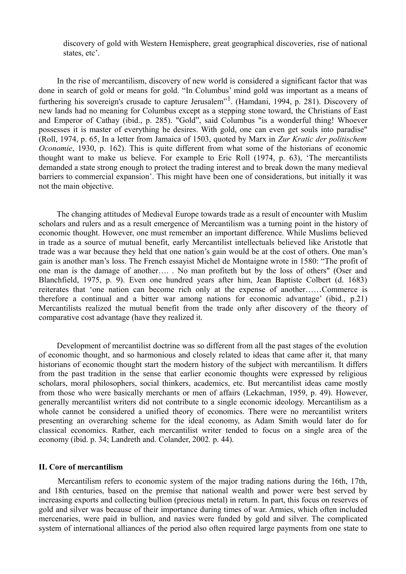discovery of gold with Western Hemisphere, great geographical discoveries, rise of national states, etc'.

 In the rise of mercantilism, discovery of new world is considered a significant factor that was done in search of gold or means for gold. "In Columbus' mind gold was important as a means of furthering his sovereign's crusade to capture Jerusalem"<sup>1</sup>. (Hamdani, 1994, p. 281). Discovery of new lands had no meaning for Columbus except as a stepping stone toward, the Christians of East and Emperor of Cathay (ibid., p. 285). "Gold", said Columbus "is a wonderful thing! Whoever possesses it is master of everything he desires. With gold, one can even get souls into paradise" (Roll, 1974, p. 65, In a letter from Jamaica of 1503, quoted by Marx in *Zur Kratic der politischem Oconomie*, 1930, p. 162). This is quite different from what some of the historians of economic thought want to make us believe. For example to Eric Roll (1974, p. 63), 'The mercantilists demanded a state strong enough to protect the trading interest and to break down the many medieval barriers to commercial expansion'. This might have been one of considerations, but initially it was not the main objective.

 The changing attitudes of Medieval Europe towards trade as a result of encounter with Muslim scholars and rulers and as a result emergence of Mercantilism was a turning point in the history of economic thought. However, one must remember an important difference. While Muslims believed in trade as a source of mutual benefit, early Mercantilist intellectuals believed like Aristotle that trade was a war because they held that one nation's gain would be at the cost of others. One man's gain is another man's loss. The French essayist Michel de Montaigne wrote in 1580: "The profit of one man is the damage of another…. . No man profiteth but by the loss of others" (Oser and Blanchfield, 1975, p. 9). Even one hundred years after him, Jean Baptiste Colbert (d. 1683) reiterates that 'one nation can become rich only at the expense of another……Commerce is therefore a continual and a bitter war among nations for economic advantage' (ibid., p.21) Mercantilists realized the mutual benefit from the trade only after discovery of the theory of comparative cost advantage (have they realized it.

 Development of mercantilist doctrine was so different from all the past stages of the evolution of economic thought, and so harmonious and closely related to ideas that came after it, that many historians of economic thought start the modern history of the subject with mercantilism. It differs from the past tradition in the sense that earlier economic thoughts were expressed by religious scholars, moral philosophers, social thinkers, academics, etc. But mercantilist ideas came mostly from those who were basically merchants or men of affairs (Lekachman, 1959, p. 49). However, generally mercantilist writers did not contribute to a single economic ideology. Mercantilism as a whole cannot be considered a unified theory of economics. There were no mercantilist writers presenting an overarching scheme for the ideal economy, as Adam Smith would later do for classical economics. Rather, each mercantilist writer tended to focus on a single area of the economy (ibid. p. 34; Landreth and. Colander, 2002*.* p. 44).

#### **II. Core of mercantilism**

 Mercantilism refers to economic system of the major trading nations during the 16th, 17th, and 18th centuries, based on the premise that national wealth and power were best served by increasing exports and collecting bullion (precious metal) in return. In part, this focus on reserves of gold and silver was because of their importance during times of war. Armies, which often included mercenaries, were paid in bullion, and navies were funded by gold and silver. The complicated system of international alliances of the period also often required large payments from one state to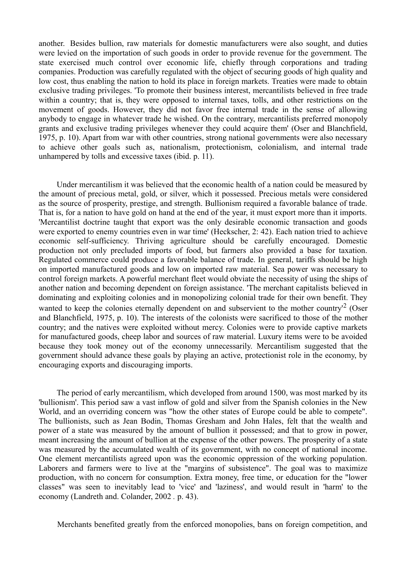another. Besides bullion, raw materials for domestic manufacturers were also sought, and duties were levied on the importation of such goods in order to provide revenue for the government. The state exercised much control over economic life, chiefly through corporations and trading companies. Production was carefully regulated with the object of securing goods of high quality and low cost, thus enabling the nation to hold its place in foreign markets. Treaties were made to obtain exclusive trading privileges. 'To promote their business interest, mercantilists believed in free trade within a country; that is, they were opposed to internal taxes, tolls, and other restrictions on the movement of goods. However, they did not favor free internal trade in the sense of allowing anybody to engage in whatever trade he wished. On the contrary, mercantilists preferred monopoly grants and exclusive trading privileges whenever they could acquire them' (Oser and Blanchfield, 1975, p. 10). Apart from war with other countries, strong national governments were also necessary to achieve other goals such as, nationalism, protectionism, colonialism, and internal trade unhampered by tolls and excessive taxes (ibid. p. 11).

 Under mercantilism it was believed that the economic health of a nation could be measured by the amount of precious metal, gold, or silver, which it possessed. Precious metals were considered as the source of prosperity, prestige, and strength. Bullionism required a favorable balance of trade. That is, for a nation to have gold on hand at the end of the year, it must export more than it imports. 'Mercantilist doctrine taught that export was the only desirable economic transaction and goods were exported to enemy countries even in war time' (Heckscher, 2: 42). Each nation tried to achieve economic self-sufficiency. Thriving agriculture should be carefully encouraged. Domestic production not only precluded imports of food, but farmers also provided a base for taxation. Regulated commerce could produce a favorable balance of trade. In general, tariffs should be high on imported manufactured goods and low on imported raw material. Sea power was necessary to control foreign markets. A powerful merchant fleet would obviate the necessity of using the ships of another nation and becoming dependent on foreign assistance. 'The merchant capitalists believed in dominating and exploiting colonies and in monopolizing colonial trade for their own benefit. They wanted to keep the colonies eternally dependent on and subservient to the mother country<sup>2</sup> (Oser and Blanchfield, 1975, p. 10). The interests of the colonists were sacrificed to those of the mother country; and the natives were exploited without mercy. Colonies were to provide captive markets for manufactured goods, cheep labor and sources of raw material. Luxury items were to be avoided because they took money out of the economy unnecessarily. Mercantilism suggested that the government should advance these goals by playing an active, protectionist role in the economy, by encouraging exports and discouraging imports.

 The period of early mercantilism, which developed from around 1500, was most marked by its 'bullionism'. This period saw a vast inflow of gold and silver from the Spanish colonies in the New World, and an overriding concern was "how the other states of Europe could be able to compete". The bullionists, such as Jean Bodin, Thomas Gresham and John Hales, felt that the wealth and power of a state was measured by the amount of bullion it possessed; and that to grow in power, meant increasing the amount of bullion at the expense of the other powers. The prosperity of a state was measured by the accumulated wealth of its government, with no concept of national income. One element mercantilists agreed upon was the economic oppression of the working population. Laborers and farmers were to live at the "margins of subsistence". The goal was to maximize production, with no concern for consumption. Extra money, free time, or education for the "lower classes" was seen to inevitably lead to 'vice' and 'laziness', and would result in 'harm' to the economy (Landreth and. Colander, 2002 *.* p. 43).

Merchants benefited greatly from the enforced monopolies, bans on foreign competition, and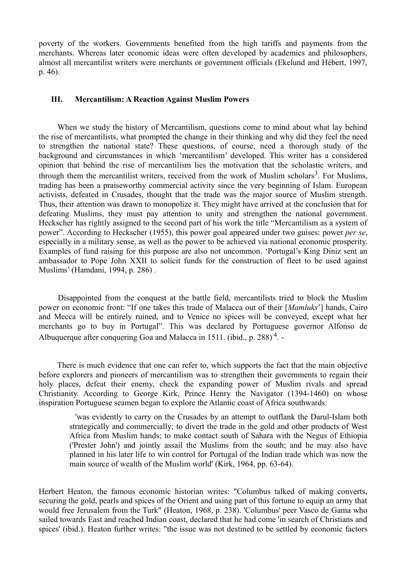poverty of the workers. Governments benefited from the high tariffs and payments from the merchants. Whereas later economic ideas were often developed by academics and philosophers, almost all mercantilist writers were merchants or government officials (Ekelund and Hébert, 1997, p. 46).

#### **III. Mercantilism: A Reaction Against Muslim Powers**

 When we study the history of Mercantilism, questions come to mind about what lay behind the rise of mercantilists, what prompted the change in their thinking and why did they feel the need to strengthen the national state? These questions, of course, need a thorough study of the background and circumstances in which 'mercantilism' developed. This writer has a considered opinion that behind the rise of mercantilism lies the motivation that the scholastic writers, and through them the mercantilist writers, received from the work of Muslim scholars<sup>3</sup>. For Muslims, trading has been a praiseworthy commercial activity since the very beginning of Islam. European activists, defeated in Crusades, thought that the trade was the major source of Muslim strength. Thus, their attention was drawn to monopolize it. They might have arrived at the conclusion that for defeating Muslims, they must pay attention to unity and strengthen the national government. Heckscher has rightly assigned to the second part of his work the title "Mercantilism as a system of power". According to Heckscher (1955), this power goal appeared under two guises: power *per se*, especially in a military sense, as well as the power to be achieved via national economic prosperity. Examples of fund raising for this purpose are also not uncommon. 'Portugal's King Diniz sent an ambassador to Pope John XXII to solicit funds for the construction of fleet to be used against Muslims' (Hamdani, 1994, p. 286) .

 Disappointed from the conquest at the battle field, mercantilists tried to block the Muslim power on economic front: "If one takes this trade of Malacca out of their [*Mamluks*'] hands, Cairo and Mecca will be entirely ruined, and to Venice no spices will be conveyed, except what her merchants go to buy in Portugal". This was declared by Portuguese governor Alfonso de Albuquerque after conquering Goa and Malacca in 1511. (ibid., p. 288)<sup>4</sup>. -

 There is much evidence that one can refer to, which supports the fact that the main objective before explorers and pioneers of mercantilism was to strengthen their governments to regain their holy places, defeat their enemy, check the expanding power of Muslim rivals and spread Christianity. According to George Kirk, Prince Henry the Navigator (1394-1460) on whose inspiration Portuguese seamen began to explore the Atlantic coast of Africa southwards:

 'was evidently to carry on the Crusades by an attempt to outflank the Darul-Islam both strategically and commercially; to divert the trade in the gold and other products of West Africa from Muslim hands; to make contact south of Sahara with the Negus of Ethiopia ('Prester John') and jointly assail the Muslims from the south; and he may also have planned in his later life to win control for Portugal of the Indian trade which was now the main source of wealth of the Muslim world' (Kirk, 1964, pp. 63-64).

Herbert Heaton, the famous economic historian writes: "Columbus talked of making converts, securing the gold, pearls and spices of the Orient and using part of this fortune to equip an army that would free Jerusalem from the Turk" (Heaton, 1968, p. 238). 'Columbus' peer Vasco de Gama who sailed towards East and reached Indian coast, declared that he had come 'in search of Christians and spices' (ibid.). Heaton further writes: "the issue was not destined to be settled by economic factors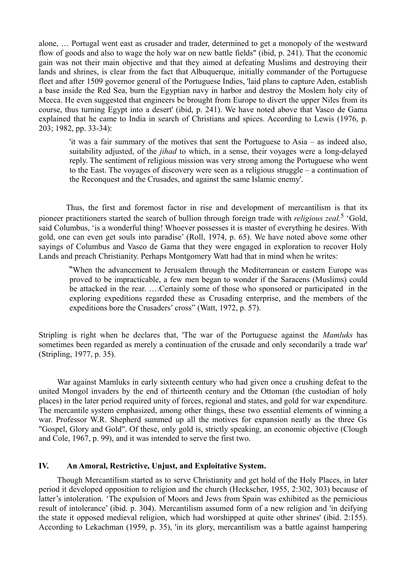alone, … Portugal went east as crusader and trader, determined to get a monopoly of the westward flow of goods and also to wage the holy war on new battle fields" (ibid, p. 241). That the economic gain was not their main objective and that they aimed at defeating Muslims and destroying their lands and shrines, is clear from the fact that Albuquerque, initially commander of the Portuguese fleet and after 1509 governor general of the Portuguese Indies, 'laid plans to capture Aden, establish a base inside the Red Sea, burn the Egyptian navy in harbor and destroy the Moslem holy city of Mecca. He even suggested that engineers be brought from Europe to divert the upper Niles from its course, thus turning Egypt into a desert' (ibid, p. 241). We have noted above that Vasco de Gama explained that he came to India in search of Christians and spices. According to Lewis (1976, p. 203; 1982, pp. 33-34):

'it was a fair summary of the motives that sent the Portuguese to Asia – as indeed also, suitability adjusted, of the *jihad* to which, in a sense, their voyages were a long-delayed reply. The sentiment of religious mission was very strong among the Portuguese who went to the East. The voyages of discovery were seen as a religious struggle – a continuation of the Reconquest and the Crusades, and against the same Islamic enemy'.

 Thus, the first and foremost factor in rise and development of mercantilism is that its pioneer practitioners started the search of bullion through foreign trade with *religious zeal*.<sup>5</sup> 'Gold, said Columbus, 'is a wonderful thing! Whoever possesses it is master of everything he desires. With gold, one can even get souls into paradise' (Roll, 1974, p. 65). We have noted above some other sayings of Columbus and Vasco de Gama that they were engaged in exploration to recover Holy Lands and preach Christianity. Perhaps Montgomery Watt had that in mind when he writes:

"When the advancement to Jerusalem through the Mediterranean or eastern Europe was proved to be impracticable, a few men began to wonder if the Saracens (Muslims) could be attacked in the rear. ….Certainly some of those who sponsored or participated in the exploring expeditions regarded these as Crusading enterprise, and the members of the expeditions bore the Crusaders' cross" (Watt, 1972, p. 57).

Stripling is right when he declares that, 'The war of the Portuguese against the *Mamluks* has sometimes been regarded as merely a continuation of the crusade and only secondarily a trade war' (Stripling, 1977, p. 35).

 War against Mamluks in early sixteenth century who had given once a crushing defeat to the united Mongol invaders by the end of thirteenth century and the Ottoman (the custodian of holy places) in the later period required unity of forces, regional and states, and gold for war expenditure. The mercantile system emphasized, among other things, these two essential elements of winning a war. Professor W.R. Shepherd summed up all the motives for expansion neatly as the three Gs "Gospel, Glory and Gold". Of these, only gold is, strictly speaking, an economic objective (Clough and Cole, 1967, p. 99), and it was intended to serve the first two.

# **IV. An Amoral, Restrictive, Unjust, and Exploitative System.**

 Though Mercantilism started as to serve Christianity and get hold of the Holy Places, in later period it developed opposition to religion and the church (Heckscher, 1955, 2:302, 303) because of latter's intoleration. 'The expulsion of Moors and Jews from Spain was exhibited as the pernicious result of intolerance' (ibid. p. 304). Mercantilism assumed form of a new religion and 'in deifying the state it opposed medieval religion, which had worshipped at quite other shrines' (ibid. 2:155). According to Lekachman (1959, p. 35), 'in its glory, mercantilism was a battle against hampering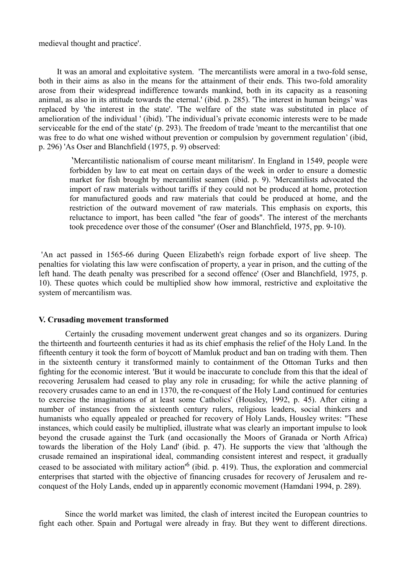medieval thought and practice'.

 It was an amoral and exploitative system. 'The mercantilists were amoral in a two-fold sense, both in their aims as also in the means for the attainment of their ends. This two-fold amorality arose from their widespread indifference towards mankind, both in its capacity as a reasoning animal, as also in its attitude towards the eternal.' (ibid. p. 285). 'The interest in human beings' was replaced by 'the interest in the state'. 'The welfare of the state was substituted in place of amelioration of the individual ' (ibid). 'The individual's private economic interests were to be made serviceable for the end of the state' (p. 293). The freedom of trade 'meant to the mercantilist that one was free to do what one wished without prevention or compulsion by government regulation' (ibid, p. 296) 'As Oser and Blanchfield (1975, p. 9) observed:

 'Mercantilistic nationalism of course meant militarism'. In England in 1549, people were forbidden by law to eat meat on certain days of the week in order to ensure a domestic market for fish brought by mercantilist seamen (ibid. p. 9). 'Mercantilists advocated the import of raw materials without tariffs if they could not be produced at home, protection for manufactured goods and raw materials that could be produced at home, and the restriction of the outward movement of raw materials. This emphasis on exports, this reluctance to import, has been called "the fear of goods". The interest of the merchants took precedence over those of the consumer' (Oser and Blanchfield, 1975, pp. 9-10).

'An act passed in 1565-66 during Queen Elizabeth's reign forbade export of live sheep. The penalties for violating this law were confiscation of property, a year in prison, and the cutting of the left hand. The death penalty was prescribed for a second offence' (Oser and Blanchfield, 1975, p. 10). These quotes which could be multiplied show how immoral, restrictive and exploitative the system of mercantilism was.

#### **V. Crusading movement transformed**

 Certainly the crusading movement underwent great changes and so its organizers. During the thirteenth and fourteenth centuries it had as its chief emphasis the relief of the Holy Land. In the fifteenth century it took the form of boycott of Mamluk product and ban on trading with them. Then in the sixteenth century it transformed mainly to containment of the Ottoman Turks and then fighting for the economic interest. 'But it would be inaccurate to conclude from this that the ideal of recovering Jerusalem had ceased to play any role in crusading; for while the active planning of recovery crusades came to an end in 1370, the re-conquest of the Holy Land continued for centuries to exercise the imaginations of at least some Catholics' (Housley, 1992, p. 45). After citing a number of instances from the sixteenth century rulers, religious leaders, social thinkers and humanists who equally appealed or preached for recovery of Holy Lands, Housley writes: "These instances, which could easily be multiplied, illustrate what was clearly an important impulse to look beyond the crusade against the Turk (and occasionally the Moors of Granada or North Africa) towards the liberation of the Holy Land' (ibid. p. 47). He supports the view that 'although the crusade remained an inspirational ideal, commanding consistent interest and respect, it gradually ceased to be associated with military action<sup>'6</sup> (ibid. p. 419). Thus, the exploration and commercial enterprises that started with the objective of financing crusades for recovery of Jerusalem and reconquest of the Holy Lands, ended up in apparently economic movement (Hamdani 1994, p. 289).

 Since the world market was limited, the clash of interest incited the European countries to fight each other. Spain and Portugal were already in fray. But they went to different directions.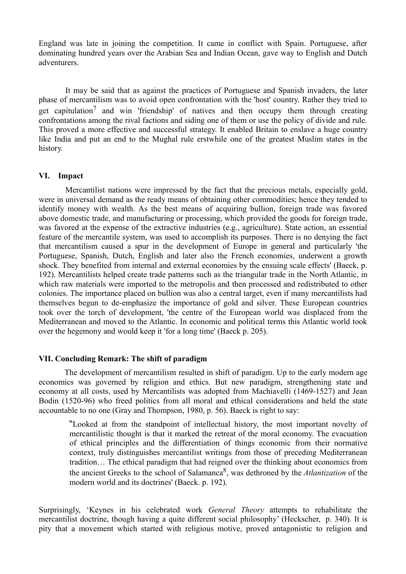England was late in joining the competition. It came in conflict with Spain. Portuguese, after dominating hundred years over the Arabian Sea and Indian Ocean, gave way to English and Dutch adventurers.

 It may be said that as against the practices of Portuguese and Spanish invaders, the later phase of mercantilism was to avoid open confrontation with the 'host' country. Rather they tried to get capitulation<sup>7</sup> and win 'friendship' of natives and then occupy them through creating confrontations among the rival factions and siding one of them or use the policy of divide and rule. This proved a more effective and successful strategy. It enabled Britain to enslave a huge country like India and put an end to the Mughal rule erstwhile one of the greatest Muslim states in the history.

## **VI. Impact**

 Mercantilist nations were impressed by the fact that the precious metals, especially gold, were in universal demand as the ready means of obtaining other commodities; hence they tended to identify money with wealth. As the best means of acquiring bullion, foreign trade was favored above domestic trade, and manufacturing or processing, which provided the goods for foreign trade, was favored at the expense of the extractive industries (e.g., agriculture). State action, an essential feature of the mercantile system, was used to accomplish its purposes. There is no denying the fact that mercantilism caused a spur in the development of Europe in general and particularly 'the Portuguese, Spanish, Dutch, English and later also the French economies, underwent a growth shock. They benefited from internal and external economies by the ensuing scale effects' (Baeck, p. 192). Mercantilists helped create trade patterns such as the triangular trade in the North Atlantic, in which raw materials were imported to the metropolis and then processed and redistributed to other colonies. The importance placed on bullion was also a central target, even if many mercantilists had themselves begun to de-emphasize the importance of gold and silver. These European countries took over the torch of development, 'the centre of the European world was displaced from the Mediterranean and moved to the Atlantic. In economic and political terms this Atlantic world took over the hegemony and would keep it 'for a long time' (Baeck p. 205).

# **VII. Concluding Remark: The shift of paradigm**

 The development of mercantilism resulted in shift of paradigm. Up to the early modern age economics was governed by religion and ethics. But new paradigm, strengthening state and economy at all costs, used by Mercantilists was adopted from Machiavelli (1469-1527) and Jean Bodin (1520-96) who freed politics from all moral and ethical considerations and held the state accountable to no one (Gray and Thompson, 1980, p. 56). Baeck is right to say:

"Looked at from the standpoint of intellectual history, the most important novelty of mercantilistic thought is that it marked the retreat of the moral economy. The evacuation of ethical principles and the differentiation of things economic from their normative context, truly distinguishes mercantilist writings from those of preceding Mediterranean tradition… The ethical paradigm that had reigned over the thinking about economics from the ancient Greeks to the school of Salamanca<sup>8</sup> , was dethroned by the *Atlantization* of the modern world and its doctrines' (Baeck. p. 192).

Surprisingly, 'Keynes in his celebrated work *General Theory* attempts to rehabilitate the mercantilist doctrine, though having a quite different social philosophy' (Heckscher, p. 340). It is pity that a movement which started with religious motive, proved antagonistic to religion and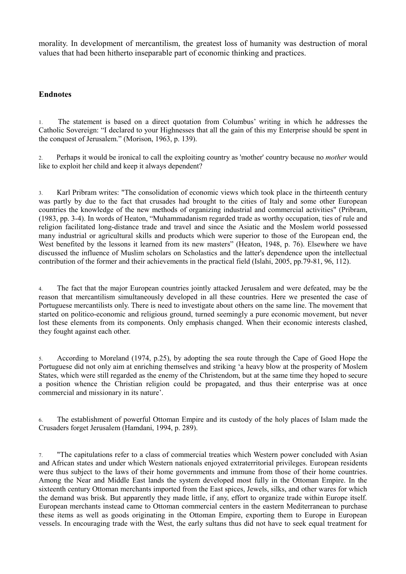morality. In development of mercantilism, the greatest loss of humanity was destruction of moral values that had been hitherto inseparable part of economic thinking and practices.

# **Endnotes**

1. The statement is based on a direct quotation from Columbus' writing in which he addresses the Catholic Sovereign: "I declared to your Highnesses that all the gain of this my Enterprise should be spent in the conquest of Jerusalem." (Morison, 1963, p. 139).

2. Perhaps it would be ironical to call the exploiting country as 'mother' country because no *mother* would like to exploit her child and keep it always dependent?

3. Karl Pribram writes: "The consolidation of economic views which took place in the thirteenth century was partly by due to the fact that crusades had brought to the cities of Italy and some other European countries the knowledge of the new methods of organizing industrial and commercial activities" (Pribram, (1983, pp. 3-4). In words of Heaton, "Muhammadanism regarded trade as worthy occupation, ties of rule and religion facilitated long-distance trade and travel and since the Asiatic and the Moslem world possessed many industrial or agricultural skills and products which were superior to those of the European end, the West benefited by the lessons it learned from its new masters" (Heaton, 1948, p. 76). Elsewhere we have discussed the influence of Muslim scholars on Scholastics and the latter's dependence upon the intellectual contribution of the former and their achievements in the practical field (Islahi, 2005, pp.79-81, 96, 112).

4. The fact that the major European countries jointly attacked Jerusalem and were defeated, may be the reason that mercantilism simultaneously developed in all these countries. Here we presented the case of Portuguese mercantilists only. There is need to investigate about others on the same line. The movement that started on politico-economic and religious ground, turned seemingly a pure economic movement, but never lost these elements from its components. Only emphasis changed. When their economic interests clashed, they fought against each other.

5. According to Moreland (1974, p.25), by adopting the sea route through the Cape of Good Hope the Portuguese did not only aim at enriching themselves and striking 'a heavy blow at the prosperity of Moslem States, which were still regarded as the enemy of the Christendom, but at the same time they hoped to secure a position whence the Christian religion could be propagated, and thus their enterprise was at once commercial and missionary in its nature'.

6. The establishment of powerful Ottoman Empire and its custody of the holy places of Islam made the Crusaders forget Jerusalem (Hamdani, 1994, p. 289).

7. "The capitulations refer to a class of commercial treaties which Western power concluded with Asian and African states and under which Western nationals enjoyed extraterritorial privileges. European residents were thus subject to the laws of their home governments and immune from those of their home countries. Among the Near and Middle East lands the system developed most fully in the Ottoman Empire. In the sixteenth century Ottoman merchants imported from the East spices, Jewels, silks, and other wares for which the demand was brisk. But apparently they made little, if any, effort to organize trade within Europe itself. European merchants instead came to Ottoman commercial centers in the eastern Mediterranean to purchase these items as well as goods originating in the Ottoman Empire, exporting them to Europe in European vessels. In encouraging trade with the West, the early sultans thus did not have to seek equal treatment for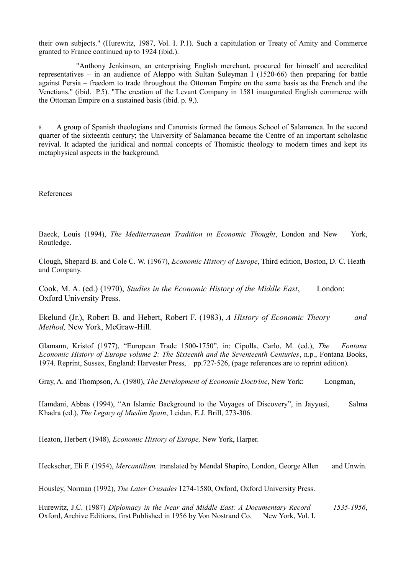their own subjects." (Hurewitz, 1987, Vol. I. P.1). Such a capitulation or Treaty of Amity and Commerce granted to France continued up to 1924 (ibid.).

 "Anthony Jenkinson, an enterprising English merchant, procured for himself and accredited representatives – in an audience of Aleppo with Sultan Suleyman I (1520-66) then preparing for battle against Persia – freedom to trade throughout the Ottoman Empire on the same basis as the French and the Venetians." (ibid. P.5). "The creation of the Levant Company in 1581 inaugurated English commerce with the Ottoman Empire on a sustained basis (ibid. p. 9,).

8. A group of Spanish theologians and Canonists formed the famous School of Salamanca. In the second quarter of the sixteenth century; the University of Salamanca became the Centre of an important scholastic revival. It adapted the juridical and normal concepts of Thomistic theology to modern times and kept its metaphysical aspects in the background.

References

Baeck, Louis (1994), *The Mediterranean Tradition in Economic Thought*, London and New York, Routledge.

Clough, Shepard B. and Cole C. W. (1967), *Economic History of Europe*, Third edition, Boston, D. C. Heath and Company.

Cook, M. A. (ed.) (1970), *Studies in the Economic History of the Middle East*, London: Oxford University Press.

Ekelund (Jr.), Robert B. and Hebert, Robert F. (1983), *A History of Economic Theory and Method,* New York, McGraw-Hill.

Glamann, Kristof (1977), "European Trade 1500-1750", in: Cipolla, Carlo, M. (ed.), *The Fontana Economic History of Europe volume 2: The Sixteenth and the Seventeenth Centuries*, n.p., Fontana Books, 1974. Reprint, Sussex, England: Harvester Press, pp.727-526, (page references are to reprint edition).

Gray, A. and Thompson, A. (1980), *The Development of Economic Doctrine*, New York: Longman,

Hamdani, Abbas (1994), "An Islamic Background to the Voyages of Discovery", in Jayyusi, Salma Khadra (ed.), *The Legacy of Muslim Spain*, Leidan, E.J. Brill, 273-306.

Heaton, Herbert (1948), *Economic History of Europe,* New York, Harper.

Heckscher, Eli F. (1954), *Mercantilism,* translated by Mendal Shapiro, London, George Allen and Unwin.

Housley, Norman (1992), *The Later Crusades* 1274-1580, Oxford, Oxford University Press.

Hurewitz, J.C. (1987) *Diplomacy in the Near and Middle East: A Documentary Record 1535-1956*, Oxford, Archive Editions, first Published in 1956 by Von Nostrand Co. New York, Vol. I.